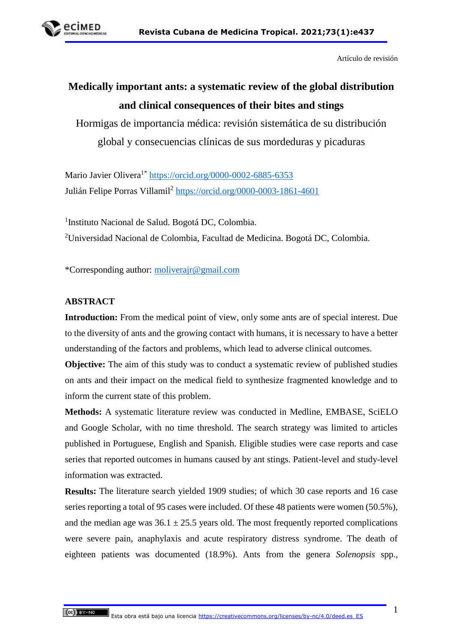

Artículo de revisión

# **Medically important ants: a systematic review of the global distribution and clinical consequences of their bites and stings**

Hormigas de importancia médica: revisión sistemática de su distribución global y consecuencias clínicas de sus mordeduras y picaduras

Mario Javier Olivera<sup>1\*</sup> <https://orcid.org/0000-0002-6885-6353> Julián Felipe Porras Villamil<sup>2</sup> <https://orcid.org/0000-0003-1861-4601>

<sup>1</sup>Instituto Nacional de Salud. Bogotá DC, Colombia. <sup>2</sup>Universidad Nacional de Colombia, Facultad de Medicina. Bogotá DC, Colombia.

\*Corresponding author: [moliverajr@gmail.com](mailto:moliverajr@gmail.com)

#### **ABSTRACT**

**Introduction:** From the medical point of view, only some ants are of special interest. Due to the diversity of ants and the growing contact with humans, it is necessary to have a better understanding of the factors and problems, which lead to adverse clinical outcomes.

**Objective:** The aim of this study was to conduct a systematic review of published studies on ants and their impact on the medical field to synthesize fragmented knowledge and to inform the current state of this problem.

**Methods:** A systematic literature review was conducted in Medline, EMBASE, SciELO and Google Scholar, with no time threshold. The search strategy was limited to articles published in Portuguese, English and Spanish. Eligible studies were case reports and case series that reported outcomes in humans caused by ant stings. Patient-level and study-level information was extracted.

**Results:** The literature search yielded 1909 studies; of which 30 case reports and 16 case series reporting a total of 95 cases were included. Of these 48 patients were women (50.5%), and the median age was  $36.1 \pm 25.5$  years old. The most frequently reported complications were severe pain, anaphylaxis and acute respiratory distress syndrome. The death of eighteen patients was documented (18.9%). Ants from the genera *Solenopsis* spp.*,*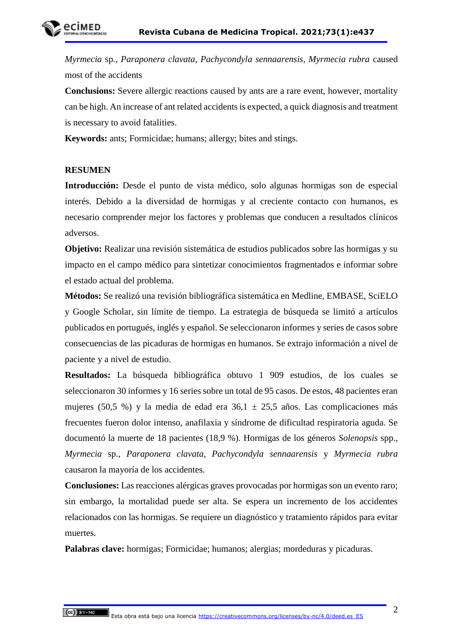*Myrmecia* sp*., Paraponera clavata, Pachycondyla sennaarensis, Myrmecia rubra* caused most of the accidents

**Conclusions:** Severe allergic reactions caused by ants are a rare event, however, mortality can be high. An increase of ant related accidents is expected, a quick diagnosis and treatment is necessary to avoid fatalities.

**Keywords:** ants; Formicidae; humans; allergy; bites and stings.

#### **RESUMEN**

**Introducción:** Desde el punto de vista médico, solo algunas hormigas son de especial interés. Debido a la diversidad de hormigas y al creciente contacto con humanos, es necesario comprender mejor los factores y problemas que conducen a resultados clínicos adversos.

**Objetivo:** Realizar una revisión sistemática de estudios publicados sobre las hormigas y su impacto en el campo médico para sintetizar conocimientos fragmentados e informar sobre el estado actual del problema.

**Métodos:** Se realizó una revisión bibliográfica sistemática en Medline, EMBASE, SciELO y Google Scholar, sin límite de tiempo. La estrategia de búsqueda se limitó a artículos publicados en portugués, inglés y español. Se seleccionaron informes y series de casos sobre consecuencias de las picaduras de hormigas en humanos. Se extrajo información a nivel de paciente y a nivel de estudio.

**Resultados:** La búsqueda bibliográfica obtuvo 1 909 estudios, de los cuales se seleccionaron 30 informes y 16 series sobre un total de 95 casos. De estos, 48 pacientes eran mujeres (50,5 %) y la media de edad era  $36.1 \pm 25.5$  años. Las complicaciones más frecuentes fueron dolor intenso, anafilaxia y síndrome de dificultad respiratoria aguda. Se documentó la muerte de 18 pacientes (18,9 %). Hormigas de los géneros *Solenopsis* spp., *Myrmecia* sp., *Paraponera clavata*, *Pachycondyla sennaarensis* y *Myrmecia rubra* causaron la mayoría de los accidentes.

**Conclusiones:** Las reacciones alérgicas graves provocadas por hormigas son un evento raro; sin embargo, la mortalidad puede ser alta. Se espera un incremento de los accidentes relacionados con las hormigas. Se requiere un diagnóstico y tratamiento rápidos para evitar muertes.

Palabras clave: hormigas; Formicidae; humanos; alergias; mordeduras y picaduras.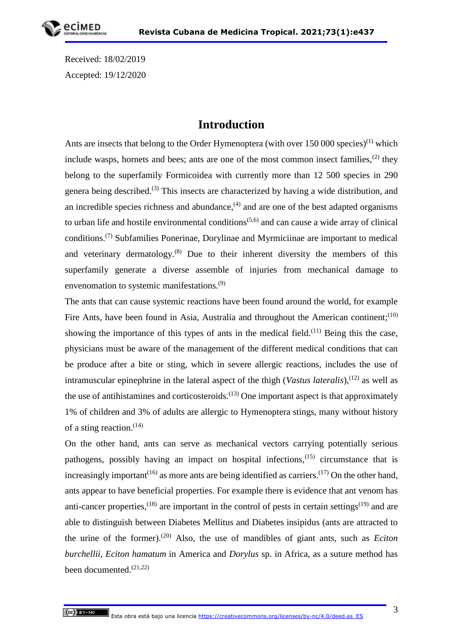Received: 18/02/2019 Accepted: 19/12/2020

# **Introduction**

Ants are insects that belong to the Order Hymenoptera (with over  $150\,000$  species)<sup>(1)</sup> which include wasps, hornets and bees; ants are one of the most common insect families,<sup>(2)</sup> they belong to the superfamily Formicoidea with currently more than 12 500 species in 290 genera being described.(3) This insects are characterized by having a wide distribution, and an incredible species richness and abundance,  $^{(4)}$  and are one of the best adapted organisms to urban life and hostile environmental conditions<sup> $(5,6)$ </sup> and can cause a wide array of clinical conditions.(7) Subfamilies Ponerinae, Dorylinae and Myrmiciinae are important to medical and veterinary dermatology. $(8)$  Due to their inherent diversity the members of this superfamily generate a diverse assemble of injuries from mechanical damage to envenomation to systemic manifestations.<sup>(9)</sup>

The ants that can cause systemic reactions have been found around the world, for example Fire Ants, have been found in Asia, Australia and throughout the American continent;  $(10)$ showing the importance of this types of ants in the medical field.<sup>(11)</sup> Being this the case, physicians must be aware of the management of the different medical conditions that can be produce after a bite or sting, which in severe allergic reactions, includes the use of intramuscular epinephrine in the lateral aspect of the thigh (*Vastus lateralis*),<sup>(12)</sup> as well as the use of antihistamines and corticosteroids.<sup>(13)</sup> One important aspect is that approximately 1% of children and 3% of adults are allergic to Hymenoptera stings, many without history of a sting reaction.  $(14)$ 

On the other hand, ants can serve as mechanical vectors carrying potentially serious pathogens, possibly having an impact on hospital infections,(15) circumstance that is increasingly important<sup> $(16)$ </sup> as more ants are being identified as carriers.<sup> $(17)$ </sup> On the other hand, ants appear to have beneficial properties. For example there is evidence that ant venom has anti-cancer properties,<sup>(18)</sup> are important in the control of pests in certain settings<sup>(19)</sup> and are able to distinguish between Diabetes Mellitus and Diabetes insipidus (ants are attracted to the urine of the former).(20) Also, the use of mandibles of giant ants, such as *Eciton burchellii*, *Eciton hamatum* in America and *Dorylus* sp. in Africa, as a suture method has been documented. $(21,22)$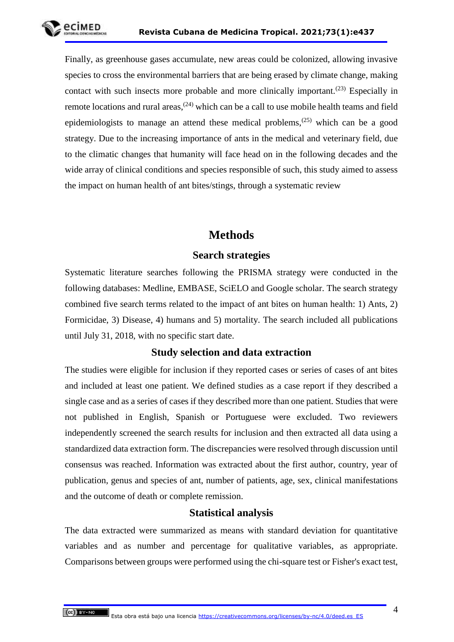Finally, as greenhouse gases accumulate, new areas could be colonized, allowing invasive species to cross the environmental barriers that are being erased by climate change, making contact with such insects more probable and more clinically important.<sup> $(23)$ </sup> Especially in remote locations and rural areas,  $(24)$  which can be a call to use mobile health teams and field epidemiologists to manage an attend these medical problems,  $(25)$  which can be a good strategy. Due to the increasing importance of ants in the medical and veterinary field, due to the climatic changes that humanity will face head on in the following decades and the wide array of clinical conditions and species responsible of such, this study aimed to assess the impact on human health of ant bites/stings, through a systematic review

# **Methods**

## **Search strategies**

Systematic literature searches following the PRISMA strategy were conducted in the following databases: Medline, EMBASE, SciELO and Google scholar. The search strategy combined five search terms related to the impact of ant bites on human health: 1) Ants, 2) Formicidae, 3) Disease, 4) humans and 5) mortality. The search included all publications until July 31, 2018, with no specific start date.

## **Study selection and data extraction**

The studies were eligible for inclusion if they reported cases or series of cases of ant bites and included at least one patient. We defined studies as a case report if they described a single case and as a series of cases if they described more than one patient. Studies that were not published in English, Spanish or Portuguese were excluded. Two reviewers independently screened the search results for inclusion and then extracted all data using a standardized data extraction form. The discrepancies were resolved through discussion until consensus was reached. Information was extracted about the first author, country, year of publication, genus and species of ant, number of patients, age, sex, clinical manifestations and the outcome of death or complete remission.

#### **Statistical analysis**

The data extracted were summarized as means with standard deviation for quantitative variables and as number and percentage for qualitative variables, as appropriate. Comparisons between groups were performed using the chi-square test or Fisher's exact test,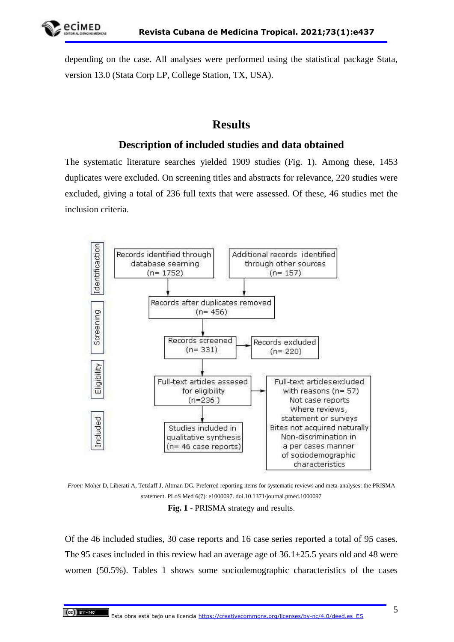depending on the case. All analyses were performed using the statistical package Stata, version 13.0 (Stata Corp LP, College Station, TX, USA).

# **Results**

## **Description of included studies and data obtained**

The systematic literature searches yielded 1909 studies (Fig. 1). Among these, 1453 duplicates were excluded. On screening titles and abstracts for relevance, 220 studies were excluded, giving a total of 236 full texts that were assessed. Of these, 46 studies met the inclusion criteria.



*From:* Moher D, Liberati A, Tetzlaff J, Altman DG. Preferred reporting items for systematic reviews and meta-analyses: the PRISMA statement. PLoS Med 6(7): e1000097. doi.10.1371/journal.pmed.1000097

**Fig. 1** - PRISMA strategy and results.

Of the 46 included studies, 30 case reports and 16 case series reported a total of 95 cases. The 95 cases included in this review had an average age of  $36.1 \pm 25.5$  years old and 48 were women (50.5%). Tables 1 shows some sociodemographic characteristics of the cases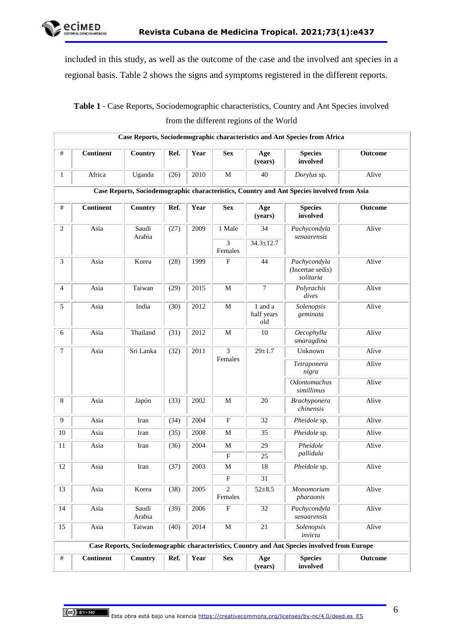

included in this study, as well as the outcome of the case and the involved ant species in a regional basis. Table 2 shows the signs and symptoms registered in the different reports.

# **Table 1** - Case Reports, Sociodemographic characteristics, Country and Ant Species involved from the different regions of the World

|                |                  |                 |      |      |                                     |                              | Case Reports, Sociodemographic characteristics and Ant Species from Africa                   |         |
|----------------|------------------|-----------------|------|------|-------------------------------------|------------------------------|----------------------------------------------------------------------------------------------|---------|
| #              | <b>Continent</b> | Country         | Ref. | Year | <b>Sex</b>                          | Age<br>(years)               | <b>Species</b><br>involved                                                                   | Outcome |
| 1              | Africa           | Uganda          | (26) | 2010 | M                                   | 40                           | Dorylus sp.                                                                                  | Alive   |
|                |                  |                 |      |      |                                     |                              | Case Reports, Sociodemographic characteristics, Country and Ant Species involved from Asia   |         |
| $\#$           | <b>Continent</b> | Country         | Ref. | Year | <b>Sex</b>                          | Age<br>(years)               | <b>Species</b><br>involved                                                                   | Outcome |
| 2              | Asia             | Saudi<br>Arabia | (27) | 2009 | 1 Male<br>$\overline{3}$<br>Females | 34<br>$34.3 \pm 12.7$        | Pachycondyla<br>senaarensis                                                                  | Alive   |
| 3              | Asia             | Korea           | (28) | 1999 | F                                   | 44                           | Pachycondyla<br>(Incertae sedis)<br>solitaria                                                | Alive   |
| $\overline{4}$ | Asia             | Taiwan          | (29) | 2015 | $\mathbf M$                         | $\tau$                       | Polyrachis<br>dives                                                                          | Alive   |
| 5              | Asia             | India           | (30) | 2012 | $\mathbf M$                         | 1 and a<br>half years<br>old | Solenopsis<br>geminata                                                                       | Alive   |
| 6              | Asia             | Thailand        | (31) | 2012 | $\mathbf M$                         | 10                           | Oecophylla<br>smaragdina                                                                     | Alive   |
| 7              | Asia             | Sri Lanka       | (32) | 2011 | $\overline{3}$<br>Females           | $29 + 1.7$                   | Unknown                                                                                      | Alive   |
|                |                  |                 |      |      |                                     |                              | Tetraponera<br>nigra                                                                         | Alive   |
|                |                  |                 |      |      |                                     |                              | Odontomachus<br>simillimus                                                                   | Alive   |
| 8              | Asia             | Japón           | (33) | 2002 | М                                   | 20                           | <b>Brachyponera</b><br>chinensis                                                             | Alive   |
| $\overline{9}$ | Asia             | Iran            | (34) | 2004 | $\mathbf{F}$                        | 32                           | Pheidole sp.                                                                                 | Alive   |
| $10\,$         | Asia             | Iran            | (35) | 2008 | M                                   | 35                           | Pheidole sp.                                                                                 | Alive   |
| 11             | Asia             | Iran            | (36) | 2004 | M                                   | 29                           | Pheidole                                                                                     | Alive   |
|                |                  |                 |      |      | $_{\rm F}$                          | 25                           | pallidula                                                                                    |         |
| 12             | Asia             | Iran            | (37) | 2003 | M                                   | 18                           | Pheidole sp.                                                                                 | Alive   |
|                |                  |                 |      |      | $_{\rm F}$                          | 31                           |                                                                                              |         |
| 13             | Asia             | Korea           | (38) | 2005 | $\overline{2}$<br>Females           | $52 + 8.5$                   | Monomorium<br>pharaonis                                                                      | Alive   |
| 14             | Asia             | Saudi<br>Arabia | (39) | 2006 | $\boldsymbol{\mathrm{F}}$           | 32                           | Pachycondyla<br>senaarensis                                                                  | Alive   |
| 15             | Asia             | Taiwan          | (40) | 2014 | $\mathbf M$                         | $21\,$                       | Solenopsis<br>invicta                                                                        | Alive   |
|                |                  |                 |      |      |                                     |                              | Case Reports, Sociodemographic characteristics, Country and Ant Species involved from Europe |         |
| $\#$           | <b>Continent</b> | Country         | Ref. | Year | <b>Sex</b>                          | Age<br>(years)               | <b>Species</b><br>involved                                                                   | Outcome |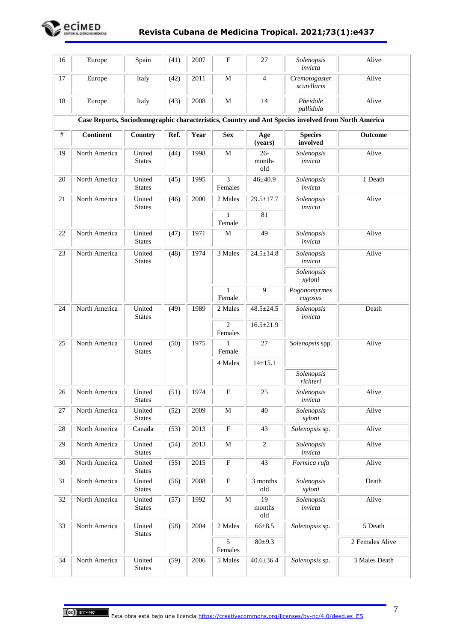

| 16     | Europe           | Spain                   | (41) | 2007 | F                         | 27                      | Solenopsis<br>invicta                                                                               | Alive           |
|--------|------------------|-------------------------|------|------|---------------------------|-------------------------|-----------------------------------------------------------------------------------------------------|-----------------|
| 17     | Europe           | Italy                   | (42) | 2011 | $\mathbf M$               | $\overline{4}$          | Crematogaster<br>scutellaris                                                                        | Alive           |
| 18     | Europe           | Italy                   | (43) | 2008 | $\mathbf M$               | 14                      | Pheidole<br>pallidula                                                                               | Alive           |
|        |                  |                         |      |      |                           |                         | Case Reports, Sociodemographic characteristics, Country and Ant Species involved from North America |                 |
| $\#$   | <b>Continent</b> | Country                 | Ref. | Year | <b>Sex</b>                | Age<br>(years)          | <b>Species</b><br>involved                                                                          | Outcome         |
| 19     | North America    | United<br><b>States</b> | (44) | 1998 | $\mathbf M$               | $26 -$<br>month-<br>old | Solenopsis<br>invicta                                                                               | Alive           |
| 20     | North America    | United<br><b>States</b> | (45) | 1995 | 3<br>Females              | $46 \pm 40.9$           | Solenopsis<br>invicta                                                                               | 1 Death         |
| 21     | North America    | United<br><b>States</b> | (46) | 2000 | 2 Males                   | $29.5 \pm 17.7$         | Solenopsis<br>invicta                                                                               | Alive           |
|        |                  |                         |      |      | $\mathbf{1}$              | 81                      |                                                                                                     |                 |
|        |                  |                         |      |      | Female                    |                         |                                                                                                     |                 |
| 22     | North America    | United<br><b>States</b> | (47) | 1971 | $\mathbf M$               | 49                      | Solenopsis<br>invicta                                                                               | Alive           |
| 23     | North America    | United<br><b>States</b> | (48) | 1974 | 3 Males                   | $24.5 + 14.8$           | Solenopsis<br>invicta                                                                               | Alive           |
|        |                  |                         |      |      |                           |                         | Solenopsis<br>xyloni                                                                                |                 |
|        |                  |                         |      |      | $\mathbf{1}$<br>Female    | 9                       | Pogonomyrmex<br>rugosus                                                                             |                 |
| 24     | North America    | United<br><b>States</b> | (49) | 1989 | 2 Males                   | $48.5 \pm 24.5$         | Solenopsis<br>invicta                                                                               | Death           |
|        |                  |                         |      |      | $\overline{2}$<br>Females | $16.5 \pm 21.9$         |                                                                                                     |                 |
| 25     | North America    | United<br><b>States</b> | (50) | 1975 | 1<br>Female               | 27                      | Solenopsis spp.                                                                                     | Alive           |
|        |                  |                         |      |      | 4 Males                   | $14 \pm 15.1$           |                                                                                                     |                 |
|        |                  |                         |      |      |                           |                         | Solenopsis<br>richteri                                                                              |                 |
| 26     | North America    | United<br><b>States</b> | (51) | 1974 | $\mathbf{F}$              | 25                      | Solenopsis<br>invicta                                                                               | Alive           |
| 27     | North America    | United<br><b>States</b> | (52) | 2009 | M                         | 40                      | Solenopsis<br>xyloni                                                                                | Alive           |
| $28\,$ | North America    | Canada                  | (53) | 2013 | $\boldsymbol{\mathrm{F}}$ | 43                      | Solenopsis sp.                                                                                      | Alive           |
| 29     | North America    | United<br><b>States</b> | (54) | 2013 | $\mathbf M$               | $\overline{2}$          | Solenopsis<br>invicta                                                                               | Alive           |
| 30     | North America    | United<br><b>States</b> | (55) | 2015 | ${\bf F}$                 | 43                      | Formica rufa                                                                                        | Alive           |
| 31     | North America    | United<br><b>States</b> | (56) | 2008 | ${\bf F}$                 | 3 months<br>old         | Solenopsis<br>xyloni                                                                                | Death           |
| 32     | North America    | United<br><b>States</b> | (57) | 1992 | $\mathbf M$               | 19<br>months<br>old     | Solenopsis<br>invicta                                                                               | Alive           |
| 33     | North America    | United<br><b>States</b> | (58) | 2004 | 2 Males                   | $66 \pm 8.5$            | Solenopsis sp.                                                                                      | 5 Death         |
|        |                  |                         |      |      | $\overline{5}$<br>Females | 80±9.3                  |                                                                                                     | 2 Females Alive |
| 34     | North America    | United<br><b>States</b> | (59) | 2006 | 5 Males                   | $40.6 \pm 36.4$         | Solenopsis sp.                                                                                      | 3 Males Death   |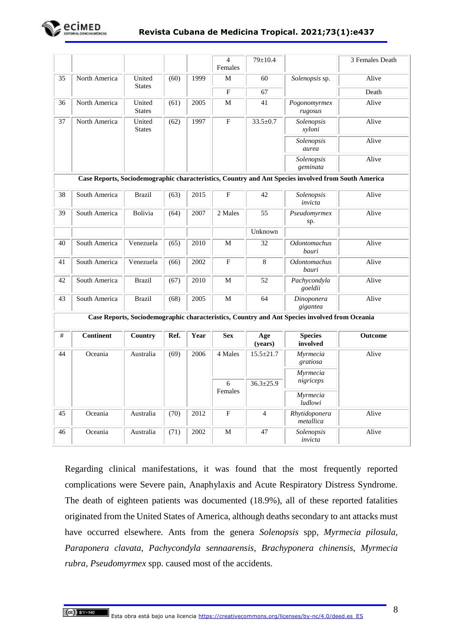

|    |                  |                         |      |      | $\overline{4}$<br>Females | $79 \pm 10.4$   |                                                                                                     | 3 Females Death |           |  |
|----|------------------|-------------------------|------|------|---------------------------|-----------------|-----------------------------------------------------------------------------------------------------|-----------------|-----------|--|
| 35 | North America    | United<br><b>States</b> | (60) | 1999 | M                         | 60              | Solenopsis sp.                                                                                      | Alive           |           |  |
|    |                  |                         |      |      | F                         | 67              |                                                                                                     | Death           |           |  |
| 36 | North America    | United<br><b>States</b> | (61) | 2005 | M                         | 41              | Pogonomyrmex<br>rugosus                                                                             | Alive           |           |  |
| 37 | North America    | United<br><b>States</b> | (62) | 1997 | $\mathbf F$               | $33.5 \pm 0.7$  | Solenopsis<br>xyloni                                                                                | Alive           |           |  |
|    |                  |                         |      |      |                           |                 | Solenopsis<br>aurea                                                                                 | Alive           |           |  |
|    |                  |                         |      |      |                           |                 | Solenopsis<br>geminata                                                                              | Alive           |           |  |
|    |                  |                         |      |      |                           |                 | Case Reports, Sociodemographic characteristics, Country and Ant Species involved from South America |                 |           |  |
| 38 | South America    | <b>Brazil</b>           | (63) | 2015 | $\mathbf{F}$              | 42              | Solenopsis<br>invicta                                                                               | Alive           |           |  |
| 39 | South America    | Bolivia                 | (64) | 2007 | 2 Males                   | 55              | Pseudomyrmex<br>sp.                                                                                 | Alive           |           |  |
|    |                  |                         |      |      |                           | Unknown         |                                                                                                     |                 |           |  |
| 40 | South America    | Venezuela               | (65) | 2010 | M                         | 32              | <b>Odontomachus</b><br>bauri                                                                        | Alive           |           |  |
| 41 | South America    | Venezuela               | (66) | 2002 | F                         | 8               | <b>Odontomachus</b><br>bauri                                                                        | Alive           |           |  |
| 42 | South America    | <b>Brazil</b>           | (67) | 2010 | M                         | 52              | Pachycondyla<br>goeldii                                                                             | Alive           |           |  |
| 43 | South America    | <b>Brazil</b>           | (68) | 2005 | M                         | 64              | Dinoponera<br>gigantea                                                                              | Alive           |           |  |
|    |                  |                         |      |      |                           |                 | Case Reports, Sociodemographic characteristics, Country and Ant Species involved from Oceania       |                 |           |  |
| #  | <b>Continent</b> | Country                 | Ref. | Year | <b>Sex</b>                | Age<br>(years)  | <b>Species</b><br>involved                                                                          | <b>Outcome</b>  |           |  |
| 44 | Oceania          | Australia               | (69) | 2006 | 4 Males                   | $15.5 \pm 21.7$ | Myrmecia<br>gratiosa                                                                                | Alive           |           |  |
|    |                  |                         |      |      |                           |                 | Myrmecia                                                                                            |                 |           |  |
|    |                  |                         |      |      | 6                         | $36.3 \pm 25.9$ |                                                                                                     |                 | nigriceps |  |
|    |                  |                         |      |      | Females                   |                 | Myrmecia<br>ludlowi                                                                                 |                 |           |  |
| 45 | Oceania          | Australia               | (70) | 2012 | $\mathbf F$               | $\overline{4}$  | Rhytidoponera<br>metallica                                                                          | Alive           |           |  |
| 46 | Oceania          | Australia               | (71) | 2002 | М                         | 47              | Solenopsis<br>invicta                                                                               | Alive           |           |  |

Regarding clinical manifestations, it was found that the most frequently reported complications were Severe pain, Anaphylaxis and Acute Respiratory Distress Syndrome. The death of eighteen patients was documented (18.9%), all of these reported fatalities originated from the United States of America, although deaths secondary to ant attacks must have occurred elsewhere. Ants from the genera *Solenopsis* spp*, Myrmecia pilosula, Paraponera clavata, Pachycondyla sennaarensis, Brachyponera chinensis, Myrmecia rubra, Pseudomyrmex* spp. caused most of the accidents.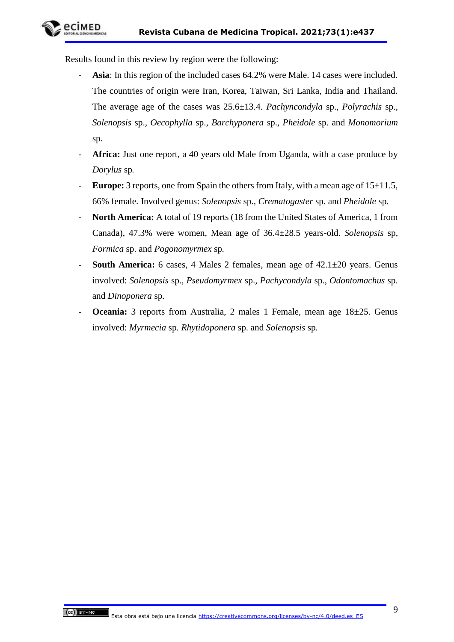

Results found in this review by region were the following:

- Asia: In this region of the included cases 64.2% were Male. 14 cases were included. The countries of origin were Iran, Korea, Taiwan, Sri Lanka, India and Thailand. The average age of the cases was 25.6±13.4. *Pachyncondyla* sp.*, Polyrachis* sp.*, Solenopsis* sp.*, Oecophylla* sp.*, Barchyponera* sp.*, Pheidole* sp. and *Monomorium*  sp*.*
- Africa: Just one report, a 40 years old Male from Uganda, with a case produce by *Dorylus* sp*.*
- **Europe:** 3 reports, one from Spain the others from Italy, with a mean age of  $15\pm11.5$ , 66% female. Involved genus: *Solenopsis* sp.*, Crematogaster* sp. and *Pheidole* sp*.*
- **North America:** A total of 19 reports (18 from the United States of America, 1 from Canada), 47.3% were women, Mean age of 36.4±28.5 years-old. *Solenopsis* sp*, Formica* sp. and *Pogonomyrmex* sp*.*
- **South America:** 6 cases, 4 Males 2 females, mean age of  $42.1 \pm 20$  years. Genus involved: *Solenopsis* sp.*, Pseudomyrmex* sp.*, Pachycondyla* sp., *Odontomachus* sp. and *Dinoponera* sp*.*
- **Oceania:** 3 reports from Australia, 2 males 1 Female, mean age  $18\pm25$ . Genus involved: *Myrmecia* sp. *Rhytidoponera* sp. and *Solenopsis* sp*.*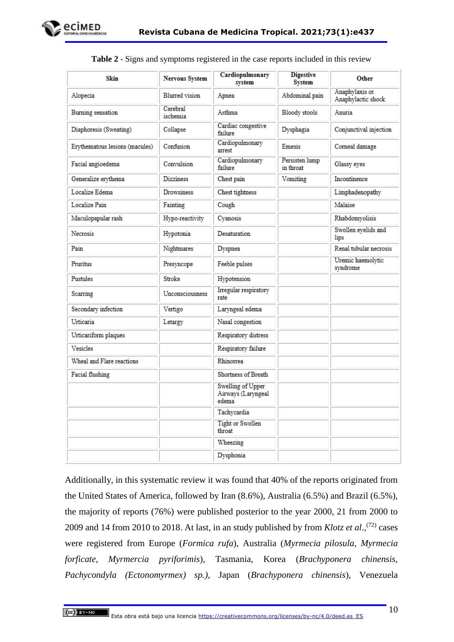

| Skin                           | Nervous System       | Cardiopulmonary<br>system                        | Digestive<br>System         | Other                                |
|--------------------------------|----------------------|--------------------------------------------------|-----------------------------|--------------------------------------|
| Alopecia                       | Blurred vision       | Apnea                                            | Abdominal pain              | Anaphylaxis or<br>Anaphylactic shock |
| Burning sensation              | Cerebral<br>ischemia | Asthma                                           | Bloody stools               | Anuria                               |
| Diaphoresis (Sweating)         | Collapse             | Cardiac congestive<br>failure                    | Dysphagia                   | Conjunctival injection               |
| Erythematous lesions (macules) | Confusion            | Cardiopulmonary<br>arrest                        | Emesis                      | Corneal damage                       |
| Facial angioedema              | Convulsion           | Cardiopulmonary<br>failure                       | Persisten lump<br>in throat | Glassy eyes                          |
| Generalize erythema            | <b>Dizziness</b>     | Chest pain                                       | Vomiting                    | Incontinence                         |
| Localize Edema                 | Drowsiness           | Chest tightness                                  |                             | Limphadenopathy                      |
| Localize Pain                  | Fainting             | Cough                                            |                             | Malaise                              |
| Maculopapular rash             | Hypo-reactivity      | Cyanosis                                         |                             | Rhabdomyolisis                       |
| Necrosis                       | Hypotonia            | Desaturation                                     |                             | Swollen eyelids and<br>lips          |
| Pain                           | Nightmares           | Dyspnea                                          |                             | Renal tubular necrosis               |
| Pruritus                       | Presyncope           | Feeble pulses                                    |                             | Uremic haemolytic<br>syndrome        |
| Pustules                       | Stroke               | Hypotension                                      |                             |                                      |
| Scarring                       | Unconsciousness      | Irregular respiratory<br>rate                    |                             |                                      |
| Secondary infection            | Vertigo              | Laryngeal edema                                  |                             |                                      |
| Urticaria                      | Letargy              | Nasal congestion                                 |                             |                                      |
| Urticariform plaques           |                      | Respiratory distress                             |                             |                                      |
| Vesicles                       |                      | Respiratory failure                              |                             |                                      |
| Wheal and Flare reactions      |                      | Rhinorrea                                        |                             |                                      |
| Facial flushing                |                      | Shortness of Breath                              |                             |                                      |
|                                |                      | Swelling of Upper<br>Airways (Laryngeal<br>edema |                             |                                      |
|                                |                      | Tachycardia                                      |                             |                                      |
|                                |                      | Tight or Swollen<br>throat                       |                             |                                      |
|                                |                      | Wheezing                                         |                             |                                      |
|                                |                      | Dysphonia                                        |                             |                                      |

|  |  |  | Table 2 - Signs and symptoms registered in the case reports included in this review |
|--|--|--|-------------------------------------------------------------------------------------|
|  |  |  |                                                                                     |

Additionally, in this systematic review it was found that 40% of the reports originated from the United States of America, followed by Iran (8.6%), Australia (6.5%) and Brazil (6.5%), the majority of reports (76%) were published posterior to the year 2000, 21 from 2000 to 2009 and 14 from 2010 to 2018. At last, in an study published by from *Klotz et al*., (72) cases were registered from Europe (*Formica rufa*), Australia (*Myrmecia pilosula*, *Myrmecia forficate*, *Myrmercia pyriforimis*), Tasmania, Korea (*Brachyponera chinensis*, *Pachycondyla (Ectonomyrmex) sp.)*, Japan (*Brachyponera chinensis*), Venezuela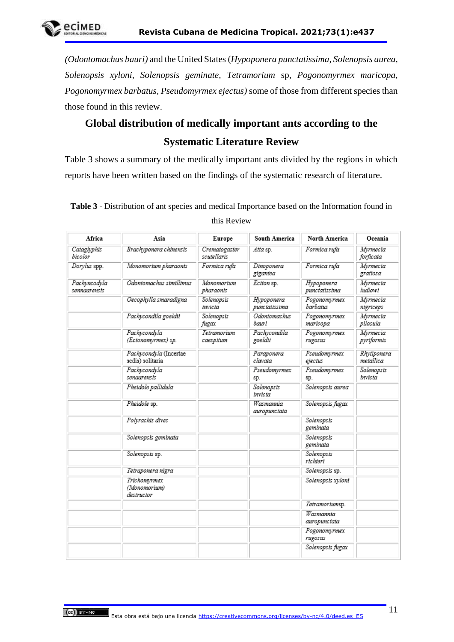*(Odontomachus bauri)* and the United States (*Hypoponera punctatissima*, *Solenopsis aurea, Solenopsis xyloni, Solenopsis geminate, Tetramorium* sp, *Pogonomyrmex maricopa, Pogonomyrmex barbatus, Pseudomyrmex ejectus)* some of those from different species than those found in this review.

# **Global distribution of medically important ants according to the Systematic Literature Review**

Table 3 shows a summary of the medically important ants divided by the regions in which reports have been written based on the findings of the systematic research of literature.

| Africa                       | Asia                                       | Europe                       | South America                | North America               | Oceania                  |
|------------------------------|--------------------------------------------|------------------------------|------------------------------|-----------------------------|--------------------------|
| Cataglyphis<br>bicolor       | Brachyponera chinensis                     | Crematogaster<br>scutellaris | Atta sp.                     | Formica rufa                | Myrmecia<br>forficata    |
| Dorylus spp.                 | Monomorium pharaonis                       | Formica rufa                 | Dinoponera<br>gigantea       | Formica rufa                | Myrmecia<br>gratiosa     |
| Pachyncodyla<br>sennaarensis | Odontomachus simillimus                    | Monomorium<br>pharaonis      | Eciton sp.                   | Hypoponera<br>punctatissima | Myrmecia<br>ludlowi      |
|                              | Oecophylla smaradigna                      | Solenopsis<br>invicta        | Hypoponera<br>punctatissima  | Pogonomyrmex<br>barbatus    | Myrmecia<br>nigriceps    |
|                              | Pachycondila goeldii                       | Solenopsis<br>fugax          | <b>Odontomachus</b><br>bauri | Pogonomvrmex<br>maricopa    | Myrmecia<br>pilosula     |
|                              | Pachycondyla<br>(Ectonomyrmex) sp.         | Tetramorium<br>caespitum     | Pachycondila<br>goeldii      | Pogonomyrmex<br>rugosus     | Myrmecia<br>pyriformis   |
|                              | Pachycondyla (Incertae<br>sedis) solitaria |                              | Paraponera<br>clavata        | Pseudomyrmex<br>ejectus     | Rhytiponera<br>metallica |
|                              | Pachycondyla<br>senaarensis                |                              | Pseudomyrmex<br>sp.          | Pseudomyrmex<br>sp.         | Solenopsis<br>invicta    |
|                              | Pheidole pallidula                         |                              | Solenopsis<br>invicta        | Solenopsis aurea            |                          |
|                              | Pheidole sp.                               |                              | Wasmannia<br>auropunctata    | Solenopsis fugax            |                          |
|                              | Polyrachis dives                           |                              |                              | Solenopsis<br>geminata      |                          |
|                              | Solenopsis geminata                        |                              |                              | Solenopsis<br>geminata      |                          |
|                              | Solenopsis sp.                             |                              |                              | Solenopsis<br>richteri      |                          |
|                              | Tetraponera nigra                          |                              |                              | Solenopsis sp.              |                          |
|                              | Trichomvrmex<br>(Monomorium)<br>destructor |                              |                              | Solenopsis xyloni           |                          |
|                              |                                            |                              |                              | Tetramoriumsp.              |                          |
|                              |                                            |                              |                              | Wasmannia<br>auropunctata   |                          |
|                              |                                            |                              |                              | Pogonomyrmex<br>rugosus     |                          |
|                              |                                            |                              |                              | Solenopsis fugax            |                          |

**Table 3** - Distribution of ant species and medical Importance based on the Information found in this Review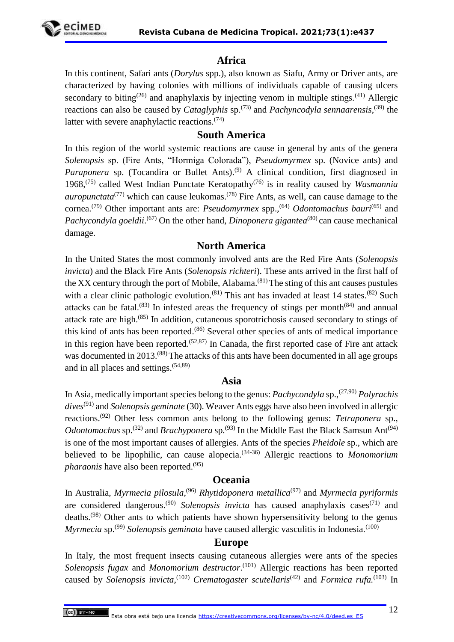

## **Africa**

In this continent, Safari ants (*Dorylus* spp.), also known as Siafu, Army or Driver ants, are characterized by having colonies with millions of individuals capable of causing ulcers secondary to biting<sup>(26)</sup> and anaphylaxis by injecting venom in multiple stings.<sup>(41)</sup> Allergic reactions can also be caused by *Cataglyphis* sp.<sup>(73)</sup> and *Pachyncodyla sennaarensis*,<sup>(39)</sup> the latter with severe anaphylactic reactions. $(74)$ 

#### **South America**

In this region of the world systemic reactions are cause in general by ants of the genera *Solenopsis* sp. (Fire Ants, "Hormiga Colorada"), *Pseudomyrmex* sp. (Novice ants) and *Paraponera* sp. (Tocandira or Bullet Ants).<sup>(9)</sup> A clinical condition, first diagnosed in 1968,(75) called West Indian Punctate Keratopathy(76) is in reality caused by *Wasmannia auropunctata*<sup>(77)</sup> which can cause leukomas.<sup>(78)</sup> Fire Ants, as well, can cause damage to the cornea.(79) Other important ants are: *Pseudomyrmex* spp.,(64) *Odontomachus bauri*(65) and Pachycondyla goeldii.<sup>(67)</sup> On the other hand, *Dinoponera gigantea*<sup>(80)</sup> can cause mechanical damage.

#### **North America**

In the United States the most commonly involved ants are the Red Fire Ants (*Solenopsis invicta*) and the Black Fire Ants (*Solenopsis richteri*). These ants arrived in the first half of the XX century through the port of Mobile, Alabama.<sup> $(81)$ </sup> The sting of this ant causes pustules with a clear clinic pathologic evolution.  $(81)$  This ant has invaded at least 14 states.  $(82)$  Such attacks can be fatal.<sup>(83)</sup> In infested areas the frequency of stings per month<sup>(84)</sup> and annual attack rate are high.<sup>(85)</sup> In addition, cutaneous sporotrichosis caused secondary to stings of this kind of ants has been reported.<sup>(86)</sup> Several other species of ants of medical importance in this region have been reported.<sup> $(52,87)$ </sup> In Canada, the first reported case of Fire ant attack was documented in 2013.<sup>(88)</sup> The attacks of this ants have been documented in all age groups and in all places and settings. $(54,89)$ 

#### **Asia**

In Asia, medically important species belong to the genus: *Pachycondyla* sp.,(27,90) *Polyrachis dives*(91) and *Solenopsis geminate* (30). Weaver Ants eggs have also been involved in allergic reactions.(92) Other less common ants belong to the following genus: *Tetraponera* sp.*, Odontomachus* sp.<sup>(32)</sup> and *Brachyponera* sp.<sup>(93)</sup> In the Middle East the Black Samsun Ant<sup>(94)</sup> is one of the most important causes of allergies. Ants of the species *Pheidole* sp., which are believed to be lipophilic, can cause alopecia.(34-36) Allergic reactions to *Monomorium pharaonis* have also been reported.<sup>(95)</sup>

#### **Oceania**

In Australia, *Myrmecia pilosula*,<sup>(96)</sup> *Rhytidoponera metallica*<sup>(97)</sup> and *Myrmecia pyriformis* are considered dangerous.<sup>(90)</sup> Solenopsis invicta has caused anaphylaxis cases<sup>(71)</sup> and deaths.<sup>(98)</sup> Other ants to which patients have shown hypersensitivity belong to the genus *Myrmecia* sp.<sup>(99)</sup> *Solenopsis geminata* have caused allergic vasculitis in Indonesia.<sup>(100)</sup>

#### **Europe**

In Italy, the most frequent insects causing cutaneous allergies were ants of the species *Solenopsis fugax* and *Monomorium destructor*. (101) Allergic reactions has been reported caused by *Solenopsis invicta*, (102) *Crematogaster scutellaris*(42) and *Formica rufa.*(103) In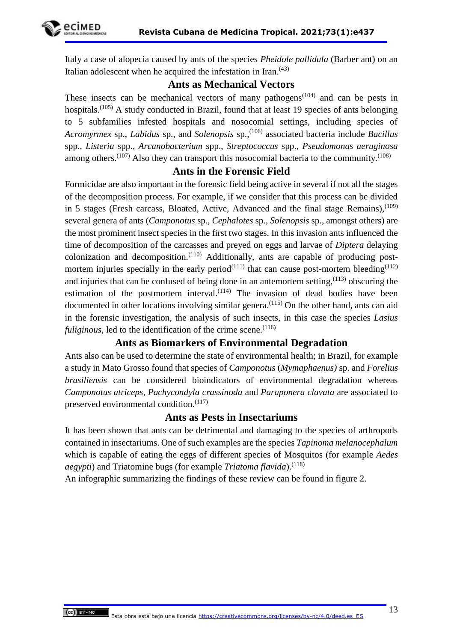Italy a case of alopecia caused by ants of the species *Pheidole pallidula* (Barber ant) on an Italian adolescent when he acquired the infestation in Iran.<sup>(43)</sup>

## **Ants as Mechanical Vectors**

These insects can be mechanical vectors of many pathogens<sup> $(104)$ </sup> and can be pests in hospitals.<sup> $(105)$ </sup> A study conducted in Brazil, found that at least 19 species of ants belonging to 5 subfamilies infested hospitals and nosocomial settings, including species of *Acromyrmex* sp., *Labidus* sp., and *Solenopsis* sp.,(106) associated bacteria include *Bacillus*  spp., *Listeria* spp., *Arcanobacterium* spp., *Streptococcus* spp., *Pseudomonas aeruginosa*  among others.<sup> $(107)$ </sup> Also they can transport this nosocomial bacteria to the community.<sup> $(108)$ </sup>

#### **Ants in the Forensic Field**

Formicidae are also important in the forensic field being active in several if not all the stages of the decomposition process. For example, if we consider that this process can be divided in 5 stages (Fresh carcass, Bloated, Active, Advanced and the final stage Remains),  $(109)$ several genera of ants (*Camponotus* sp., *Cephalotes* sp., *Solenopsis* sp., amongst others) are the most prominent insect species in the first two stages. In this invasion ants influenced the time of decomposition of the carcasses and preyed on eggs and larvae of *Diptera* delaying colonization and decomposition. $(110)$  Additionally, ants are capable of producing postmortem injuries specially in the early period<sup>(111)</sup> that can cause post-mortem bleeding<sup>(112)</sup> and injuries that can be confused of being done in an antemortem setting,  $(113)$  obscuring the estimation of the postmortem interval.<sup> $(114)$ </sup> The invasion of dead bodies have been documented in other locations involving similar genera.<sup> $(115)$ </sup> On the other hand, ants can aid in the forensic investigation, the analysis of such insects, in this case the species *Lasius fuliginous*, led to the identification of the crime scene.<sup> $(116)$ </sup>

## **Ants as Biomarkers of Environmental Degradation**

Ants also can be used to determine the state of environmental health; in Brazil, for example a study in Mato Grosso found that species of *Camponotus* (*Mymaphaenus)* sp. and *Forelius brasiliensis* can be considered bioindicators of environmental degradation whereas *Camponotus atriceps, Pachycondyla crassinoda* and *Paraponera clavata* are associated to preserved environmental condition.<sup>(117)</sup>

## **Ants as Pests in Insectariums**

It has been shown that ants can be detrimental and damaging to the species of arthropods contained in insectariums. One of such examples are the species *Tapinoma melanocephalum* which is capable of eating the eggs of different species of Mosquitos (for example *Aedes aegypti*) and Triatomine bugs (for example *Triatoma flavida*).<sup>(118)</sup>

An infographic summarizing the findings of these review can be found in figure 2.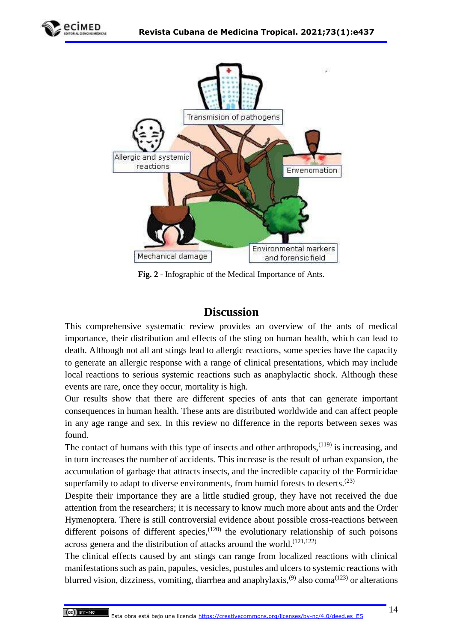



**Fig. 2** - Infographic of the Medical Importance of Ants.

# **Discussion**

This comprehensive systematic review provides an overview of the ants of medical importance, their distribution and effects of the sting on human health, which can lead to death. Although not all ant stings lead to allergic reactions, some species have the capacity to generate an allergic response with a range of clinical presentations, which may include local reactions to serious systemic reactions such as anaphylactic shock. Although these events are rare, once they occur, mortality is high.

Our results show that there are different species of ants that can generate important consequences in human health. These ants are distributed worldwide and can affect people in any age range and sex. In this review no difference in the reports between sexes was found.

The contact of humans with this type of insects and other arthropods, $(119)$  is increasing, and in turn increases the number of accidents. This increase is the result of urban expansion, the accumulation of garbage that attracts insects, and the incredible capacity of the Formicidae superfamily to adapt to diverse environments, from humid forests to deserts.<sup> $(23)$ </sup>

Despite their importance they are a little studied group, they have not received the due attention from the researchers; it is necessary to know much more about ants and the Order Hymenoptera. There is still controversial evidence about possible cross-reactions between different poisons of different species,  $(120)$  the evolutionary relationship of such poisons across genera and the distribution of attacks around the world.<sup> $(121,122)$ </sup>

The clinical effects caused by ant stings can range from localized reactions with clinical manifestations such as pain, papules, vesicles, pustules and ulcers to systemic reactions with blurred vision, dizziness, vomiting, diarrhea and anaphylaxis,<sup>(9)</sup> also coma<sup>(123)</sup> or alterations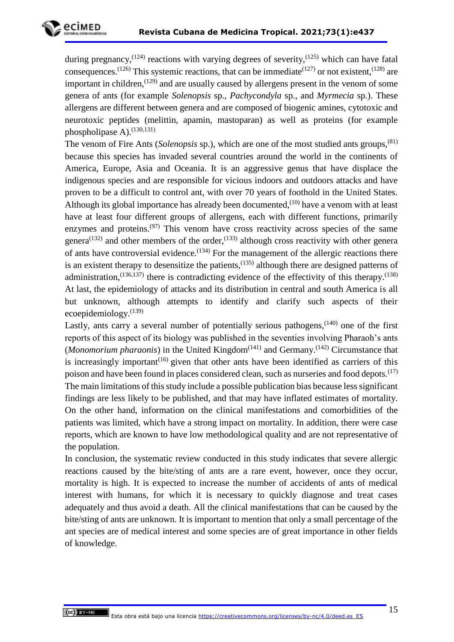

during pregnancy,<sup> $(124)$ </sup> reactions with varying degrees of severity, $(125)$  which can have fatal consequences.<sup>(126)</sup> This systemic reactions, that can be immediate<sup> $(127)$ </sup> or not existent,<sup> $(128)$ </sup> are important in children,  $(129)$  and are usually caused by allergens present in the venom of some genera of ants (for example *Solenopsis* sp., *Pachycondyla* sp., and *Myrmecia* sp.). These allergens are different between genera and are composed of biogenic amines, cytotoxic and neurotoxic peptides (melittin, apamin, mastoparan) as well as proteins (for example phospholipase  $A$ ).<sup>(130,131)</sup>

The venom of Fire Ants (*Solenopsis* sp.), which are one of the most studied ants groups,(81) because this species has invaded several countries around the world in the continents of America, Europe, Asia and Oceania. It is an aggressive genus that have displace the indigenous species and are responsible for vicious indoors and outdoors attacks and have proven to be a difficult to control ant, with over 70 years of foothold in the United States. Although its global importance has already been documented,  $(10)$  have a venom with at least have at least four different groups of allergens, each with different functions, primarily enzymes and proteins.<sup> $(97)$ </sup> This venom have cross reactivity across species of the same genera<sup>(132)</sup> and other members of the order,<sup>(133)</sup> although cross reactivity with other genera of ants have controversial evidence.<sup> $(134)$ </sup> For the management of the allergic reactions there is an existent therapy to desensitize the patients, $^{(135)}$  although there are designed patterns of administration,  $(136, 137)$  there is contradicting evidence of the effectivity of this therapy.  $(138)$ At last, the epidemiology of attacks and its distribution in central and south America is all but unknown, although attempts to identify and clarify such aspects of their ecoepidemiology.(139)

Lastly, ants carry a several number of potentially serious pathogens, $(140)$  one of the first reports of this aspect of its biology was published in the seventies involving Pharaoh's ants (*Monomorium pharaonis*) in the United Kingdom<sup> $(141)$ </sup> and Germany.<sup> $(142)$ </sup> Circumstance that is increasingly important<sup> $(16)$ </sup> given that other ants have been identified as carriers of this poison and have been found in places considered clean, such as nurseries and food depots.<sup> $(17)$ </sup> The main limitations of this study include a possible publication bias because less significant findings are less likely to be published, and that may have inflated estimates of mortality. On the other hand, information on the clinical manifestations and comorbidities of the patients was limited, which have a strong impact on mortality. In addition, there were case reports, which are known to have low methodological quality and are not representative of the population.

In conclusion, the systematic review conducted in this study indicates that severe allergic reactions caused by the bite/sting of ants are a rare event, however, once they occur, mortality is high. It is expected to increase the number of accidents of ants of medical interest with humans, for which it is necessary to quickly diagnose and treat cases adequately and thus avoid a death. All the clinical manifestations that can be caused by the bite/sting of ants are unknown. It is important to mention that only a small percentage of the ant species are of medical interest and some species are of great importance in other fields of knowledge.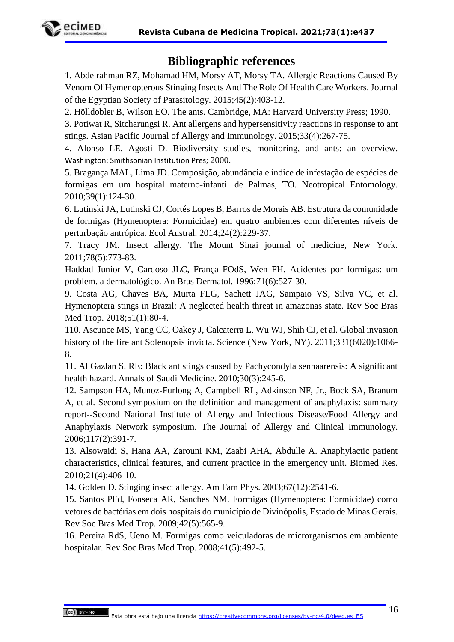

# **Bibliographic references**

1. Abdelrahman RZ, Mohamad HM, Morsy AT, Morsy TA. Allergic Reactions Caused By Venom Of Hymenopterous Stinging Insects And The Role Of Health Care Workers. Journal of the Egyptian Society of Parasitology. 2015;45(2):403-12.

2. Hölldobler B, Wilson EO. The ants. Cambridge, MA: Harvard University Press; 1990.

3. Potiwat R, Sitcharungsi R. Ant allergens and hypersensitivity reactions in response to ant stings. Asian Pacific Journal of Allergy and Immunology. 2015;33(4):267-75.

4. Alonso LE, Agosti D. Biodiversity studies, monitoring, and ants: an overview. Washington: Smithsonian Institution Pres; 2000.

5. Bragança MAL, Lima JD. Composição, abundância e índice de infestação de espécies de formigas em um hospital materno-infantil de Palmas, TO. Neotropical Entomology. 2010;39(1):124-30.

6. Lutinski JA, Lutinski CJ, Cortés Lopes B, Barros de Morais AB. Estrutura da comunidade de formigas (Hymenoptera: Formicidae) em quatro ambientes com diferentes níveis de perturbação antrópica. Ecol Austral. 2014;24(2):229-37.

7. Tracy JM. Insect allergy. The Mount Sinai journal of medicine, New York. 2011;78(5):773-83.

Haddad Junior V, Cardoso JLC, França FOdS, Wen FH. Acidentes por formigas: um problem. a dermatológico. An Bras Dermatol. 1996;71(6):527-30.

9. Costa AG, Chaves BA, Murta FLG, Sachett JAG, Sampaio VS, Silva VC, et al. Hymenoptera stings in Brazil: A neglected health threat in amazonas state. Rev Soc Bras Med Trop. 2018;51(1):80-4.

110. Ascunce MS, Yang CC, Oakey J, Calcaterra L, Wu WJ, Shih CJ, et al. Global invasion history of the fire ant Solenopsis invicta. Science (New York, NY). 2011;331(6020):1066- 8.

11. Al Gazlan S. RE: Black ant stings caused by Pachycondyla sennaarensis: A significant health hazard. Annals of Saudi Medicine. 2010;30(3):245-6.

12. Sampson HA, Munoz-Furlong A, Campbell RL, Adkinson NF, Jr., Bock SA, Branum A, et al. Second symposium on the definition and management of anaphylaxis: summary report--Second National Institute of Allergy and Infectious Disease/Food Allergy and Anaphylaxis Network symposium. The Journal of Allergy and Clinical Immunology. 2006;117(2):391-7.

13. Alsowaidi S, Hana AA, Zarouni KM, Zaabi AHA, Abdulle A. Anaphylactic patient characteristics, clinical features, and current practice in the emergency unit. Biomed Res. 2010;21(4):406-10.

14. Golden D. Stinging insect allergy. Am Fam Phys. 2003;67(12):2541-6.

15. Santos PFd, Fonseca AR, Sanches NM. Formigas (Hymenoptera: Formicidae) como vetores de bactérias em dois hospitais do município de Divinópolis, Estado de Minas Gerais. Rev Soc Bras Med Trop. 2009;42(5):565-9.

16. Pereira RdS, Ueno M. Formigas como veiculadoras de microrganismos em ambiente hospitalar. Rev Soc Bras Med Trop. 2008;41(5):492-5.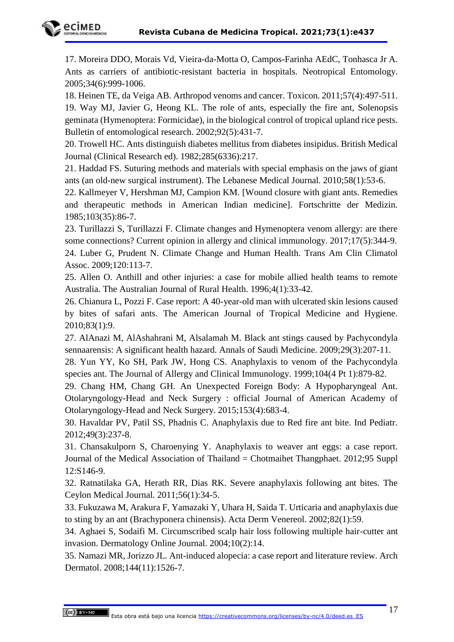

17. Moreira DDO, Morais Vd, Vieira-da-Motta O, Campos-Farinha AEdC, Tonhasca Jr A. Ants as carriers of antibiotic-resistant bacteria in hospitals. Neotropical Entomology. 2005;34(6):999-1006.

18. Heinen TE, da Veiga AB. Arthropod venoms and cancer. Toxicon. 2011;57(4):497-511. 19. Way MJ, Javier G, Heong KL. The role of ants, especially the fire ant, Solenopsis geminata (Hymenoptera: Formicidae), in the biological control of tropical upland rice pests. Bulletin of entomological research. 2002;92(5):431-7.

20. Trowell HC. Ants distinguish diabetes mellitus from diabetes insipidus. British Medical Journal (Clinical Research ed). 1982;285(6336):217.

21. Haddad FS. Suturing methods and materials with special emphasis on the jaws of giant ants (an old-new surgical instrument). The Lebanese Medical Journal. 2010;58(1):53-6.

22. Kallmeyer V, Hershman MJ, Campion KM. [Wound closure with giant ants. Remedies and therapeutic methods in American Indian medicine]. Fortschritte der Medizin. 1985;103(35):86-7.

23. Turillazzi S, Turillazzi F. Climate changes and Hymenoptera venom allergy: are there some connections? Current opinion in allergy and clinical immunology. 2017;17(5):344-9. 24. Luber G, Prudent N. Climate Change and Human Health. Trans Am Clin Climatol Assoc. 2009;120:113-7.

25. Allen O. Anthill and other injuries: a case for mobile allied health teams to remote Australia. The Australian Journal of Rural Health. 1996;4(1):33-42.

26. Chianura L, Pozzi F. Case report: A 40-year-old man with ulcerated skin lesions caused by bites of safari ants. The American Journal of Tropical Medicine and Hygiene. 2010;83(1):9.

27. AlAnazi M, AlAshahrani M, Alsalamah M. Black ant stings caused by Pachycondyla sennaarensis: A significant health hazard. Annals of Saudi Medicine. 2009;29(3):207-11.

28. Yun YY, Ko SH, Park JW, Hong CS. Anaphylaxis to venom of the Pachycondyla species ant. The Journal of Allergy and Clinical Immunology. 1999;104(4 Pt 1):879-82.

29. Chang HM, Chang GH. An Unexpected Foreign Body: A Hypopharyngeal Ant. Otolaryngology-Head and Neck Surgery : official Journal of American Academy of Otolaryngology-Head and Neck Surgery. 2015;153(4):683-4.

30. Havaldar PV, Patil SS, Phadnis C. Anaphylaxis due to Red fire ant bite. Ind Pediatr. 2012;49(3):237-8.

31. Chansakulporn S, Charoenying Y. Anaphylaxis to weaver ant eggs: a case report. Journal of the Medical Association of Thailand = Chotmaihet Thangphaet. 2012;95 Suppl 12:S146-9.

32. Ratnatilaka GA, Herath RR, Dias RK. Severe anaphylaxis following ant bites. The Ceylon Medical Journal. 2011;56(1):34-5.

33. Fukuzawa M, Arakura F, Yamazaki Y, Uhara H, Saida T. Urticaria and anaphylaxis due to sting by an ant (Brachyponera chinensis). Acta Derm Venereol. 2002;82(1):59.

34. Aghaei S, Sodaifi M. Circumscribed scalp hair loss following multiple hair-cutter ant invasion. Dermatology Online Journal. 2004;10(2):14.

35. Namazi MR, Jorizzo JL. Ant-induced alopecia: a case report and literature review. Arch Dermatol. 2008;144(11):1526-7.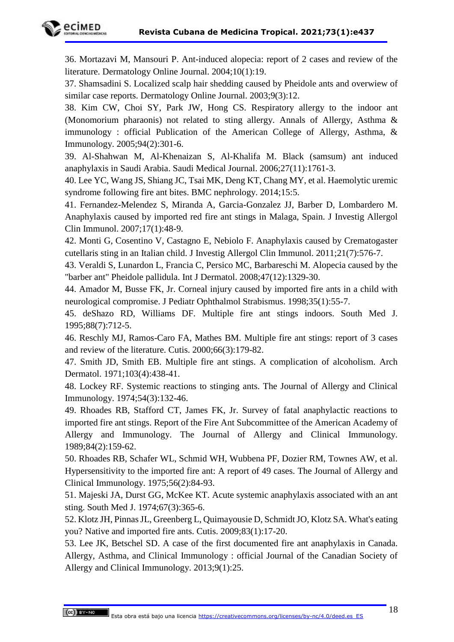

36. Mortazavi M, Mansouri P. Ant-induced alopecia: report of 2 cases and review of the literature. Dermatology Online Journal. 2004;10(1):19.

37. Shamsadini S. Localized scalp hair shedding caused by Pheidole ants and overwiew of similar case reports. Dermatology Online Journal. 2003;9(3):12.

38. Kim CW, Choi SY, Park JW, Hong CS. Respiratory allergy to the indoor ant (Monomorium pharaonis) not related to sting allergy. Annals of Allergy, Asthma & immunology : official Publication of the American College of Allergy, Asthma, & Immunology. 2005;94(2):301-6.

39. Al-Shahwan M, Al-Khenaizan S, Al-Khalifa M. Black (samsum) ant induced anaphylaxis in Saudi Arabia. Saudi Medical Journal. 2006;27(11):1761-3.

40. Lee YC, Wang JS, Shiang JC, Tsai MK, Deng KT, Chang MY, et al. Haemolytic uremic syndrome following fire ant bites. BMC nephrology. 2014;15:5.

41. Fernandez-Melendez S, Miranda A, Garcia-Gonzalez JJ, Barber D, Lombardero M. Anaphylaxis caused by imported red fire ant stings in Malaga, Spain. J Investig Allergol Clin Immunol. 2007;17(1):48-9.

42. Monti G, Cosentino V, Castagno E, Nebiolo F. Anaphylaxis caused by Crematogaster cutellaris sting in an Italian child. J Investig Allergol Clin Immunol. 2011;21(7):576-7.

43. Veraldi S, Lunardon L, Francia C, Persico MC, Barbareschi M. Alopecia caused by the "barber ant" Pheidole pallidula. Int J Dermatol. 2008;47(12):1329-30.

44. Amador M, Busse FK, Jr. Corneal injury caused by imported fire ants in a child with neurological compromise. J Pediatr Ophthalmol Strabismus. 1998;35(1):55-7.

45. deShazo RD, Williams DF. Multiple fire ant stings indoors. South Med J. 1995;88(7):712-5.

46. Reschly MJ, Ramos-Caro FA, Mathes BM. Multiple fire ant stings: report of 3 cases and review of the literature. Cutis. 2000;66(3):179-82.

47. Smith JD, Smith EB. Multiple fire ant stings. A complication of alcoholism. Arch Dermatol. 1971;103(4):438-41.

48. Lockey RF. Systemic reactions to stinging ants. The Journal of Allergy and Clinical Immunology. 1974;54(3):132-46.

49. Rhoades RB, Stafford CT, James FK, Jr. Survey of fatal anaphylactic reactions to imported fire ant stings. Report of the Fire Ant Subcommittee of the American Academy of Allergy and Immunology. The Journal of Allergy and Clinical Immunology. 1989;84(2):159-62.

50. Rhoades RB, Schafer WL, Schmid WH, Wubbena PF, Dozier RM, Townes AW, et al. Hypersensitivity to the imported fire ant: A report of 49 cases. The Journal of Allergy and Clinical Immunology. 1975;56(2):84-93.

51. Majeski JA, Durst GG, McKee KT. Acute systemic anaphylaxis associated with an ant sting. South Med J. 1974;67(3):365-6.

52. Klotz JH, Pinnas JL, Greenberg L, Quimayousie D, Schmidt JO, Klotz SA. What's eating you? Native and imported fire ants. Cutis. 2009;83(1):17-20.

53. Lee JK, Betschel SD. A case of the first documented fire ant anaphylaxis in Canada. Allergy, Asthma, and Clinical Immunology : official Journal of the Canadian Society of Allergy and Clinical Immunology. 2013;9(1):25.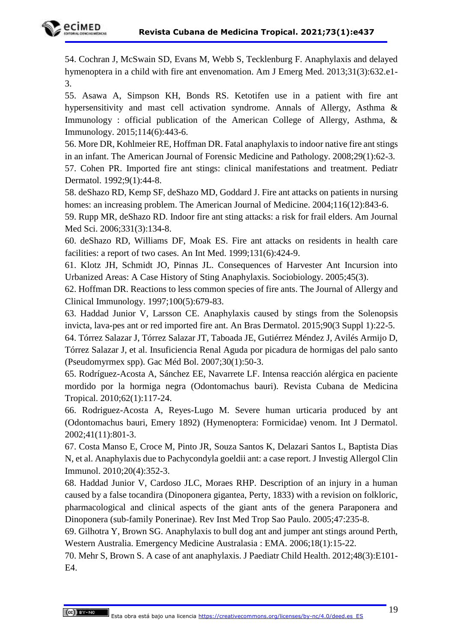

54. Cochran J, McSwain SD, Evans M, Webb S, Tecklenburg F. Anaphylaxis and delayed hymenoptera in a child with fire ant envenomation. Am J Emerg Med. 2013;31(3):632.e1- 3.

55. Asawa A, Simpson KH, Bonds RS. Ketotifen use in a patient with fire ant hypersensitivity and mast cell activation syndrome. Annals of Allergy, Asthma & Immunology : official publication of the American College of Allergy, Asthma, & Immunology. 2015;114(6):443-6.

56. More DR, Kohlmeier RE, Hoffman DR. Fatal anaphylaxis to indoor native fire ant stings in an infant. The American Journal of Forensic Medicine and Pathology. 2008;29(1):62-3.

57. Cohen PR. Imported fire ant stings: clinical manifestations and treatment. Pediatr Dermatol. 1992;9(1):44-8.

58. deShazo RD, Kemp SF, deShazo MD, Goddard J. Fire ant attacks on patients in nursing homes: an increasing problem. The American Journal of Medicine. 2004;116(12):843-6.

59. Rupp MR, deShazo RD. Indoor fire ant sting attacks: a risk for frail elders. Am Journal Med Sci. 2006;331(3):134-8.

60. deShazo RD, Williams DF, Moak ES. Fire ant attacks on residents in health care facilities: a report of two cases. An Int Med. 1999;131(6):424-9.

61. Klotz JH, Schmidt JO, Pinnas JL. Consequences of Harvester Ant Incursion into Urbanized Areas: A Case History of Sting Anaphylaxis. Sociobiology. 2005;45(3).

62. Hoffman DR. Reactions to less common species of fire ants. The Journal of Allergy and Clinical Immunology. 1997;100(5):679-83.

63. Haddad Junior V, Larsson CE. Anaphylaxis caused by stings from the Solenopsis invicta, lava-pes ant or red imported fire ant. An Bras Dermatol. 2015;90(3 Suppl 1):22-5.

64. Tórrez Salazar J, Tórrez Salazar JT, Taboada JE, Gutiérrez Méndez J, Avilés Armijo D, Tórrez Salazar J, et al. Insuficiencia Renal Aguda por picadura de hormigas del palo santo (Pseudomyrmex spp). Gac Méd Bol. 2007;30(1):50-3.

65. Rodríguez-Acosta A, Sánchez EE, Navarrete LF. Intensa reacción alérgica en paciente mordido por la hormiga negra (Odontomachus bauri). Revista Cubana de Medicina Tropical. 2010;62(1):117-24.

66. Rodriguez-Acosta A, Reyes-Lugo M. Severe human urticaria produced by ant (Odontomachus bauri, Emery 1892) (Hymenoptera: Formicidae) venom. Int J Dermatol. 2002;41(11):801-3.

67. Costa Manso E, Croce M, Pinto JR, Souza Santos K, Delazari Santos L, Baptista Dias N, et al. Anaphylaxis due to Pachycondyla goeldii ant: a case report. J Investig Allergol Clin Immunol. 2010;20(4):352-3.

68. Haddad Junior V, Cardoso JLC, Moraes RHP. Description of an injury in a human caused by a false tocandira (Dinoponera gigantea, Perty, 1833) with a revision on folkloric, pharmacological and clinical aspects of the giant ants of the genera Paraponera and Dinoponera (sub-family Ponerinae). Rev Inst Med Trop Sao Paulo. 2005;47:235-8.

69. Gilhotra Y, Brown SG. Anaphylaxis to bull dog ant and jumper ant stings around Perth, Western Australia. Emergency Medicine Australasia : EMA. 2006;18(1):15-22.

70. Mehr S, Brown S. A case of ant anaphylaxis. J Paediatr Child Health. 2012;48(3):E101- E4.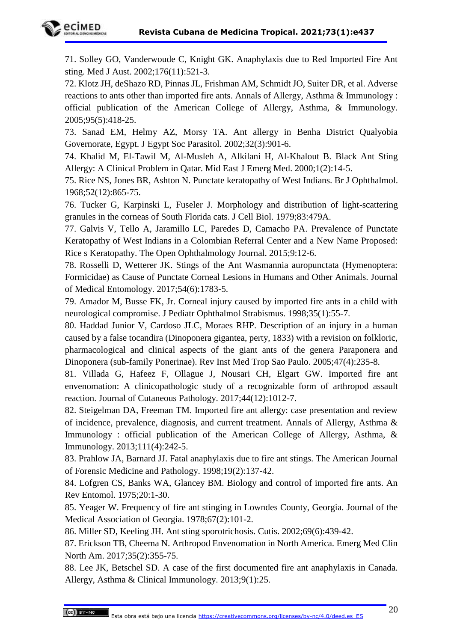

71. Solley GO, Vanderwoude C, Knight GK. Anaphylaxis due to Red Imported Fire Ant sting. Med J Aust. 2002;176(11):521-3.

72. Klotz JH, deShazo RD, Pinnas JL, Frishman AM, Schmidt JO, Suiter DR, et al. Adverse reactions to ants other than imported fire ants. Annals of Allergy, Asthma & Immunology : official publication of the American College of Allergy, Asthma, & Immunology. 2005;95(5):418-25.

73. Sanad EM, Helmy AZ, Morsy TA. Ant allergy in Benha District Qualyobia Governorate, Egypt. J Egypt Soc Parasitol. 2002;32(3):901-6.

74. Khalid M, El-Tawil M, Al-Musleh A, Alkilani H, Al-Khalout B. Black Ant Sting Allergy: A Clinical Problem in Qatar. Mid East J Emerg Med. 2000;1(2):14-5.

75. Rice NS, Jones BR, Ashton N. Punctate keratopathy of West Indians. Br J Ophthalmol. 1968;52(12):865-75.

76. Tucker G, Karpinski L, Fuseler J. Morphology and distribution of light-scattering granules in the corneas of South Florida cats. J Cell Biol. 1979;83:479A.

77. Galvis V, Tello A, Jaramillo LC, Paredes D, Camacho PA. Prevalence of Punctate Keratopathy of West Indians in a Colombian Referral Center and a New Name Proposed: Rice s Keratopathy. The Open Ophthalmology Journal. 2015;9:12-6.

78. Rosselli D, Wetterer JK. Stings of the Ant Wasmannia auropunctata (Hymenoptera: Formicidae) as Cause of Punctate Corneal Lesions in Humans and Other Animals. Journal of Medical Entomology. 2017;54(6):1783-5.

79. Amador M, Busse FK, Jr. Corneal injury caused by imported fire ants in a child with neurological compromise. J Pediatr Ophthalmol Strabismus. 1998;35(1):55-7.

80. Haddad Junior V, Cardoso JLC, Moraes RHP. Description of an injury in a human caused by a false tocandira (Dinoponera gigantea, perty, 1833) with a revision on folkloric, pharmacological and clinical aspects of the giant ants of the genera Paraponera and Dinoponera (sub-family Ponerinae). Rev Inst Med Trop Sao Paulo. 2005;47(4):235-8.

81. Villada G, Hafeez F, Ollague J, Nousari CH, Elgart GW. Imported fire ant envenomation: A clinicopathologic study of a recognizable form of arthropod assault reaction. Journal of Cutaneous Pathology. 2017;44(12):1012-7.

82. Steigelman DA, Freeman TM. Imported fire ant allergy: case presentation and review of incidence, prevalence, diagnosis, and current treatment. Annals of Allergy, Asthma & Immunology : official publication of the American College of Allergy, Asthma, & Immunology. 2013;111(4):242-5.

83. Prahlow JA, Barnard JJ. Fatal anaphylaxis due to fire ant stings. The American Journal of Forensic Medicine and Pathology. 1998;19(2):137-42.

84. Lofgren CS, Banks WA, Glancey BM. Biology and control of imported fire ants. An Rev Entomol. 1975;20:1-30.

85. Yeager W. Frequency of fire ant stinging in Lowndes County, Georgia. Journal of the Medical Association of Georgia. 1978;67(2):101-2.

86. Miller SD, Keeling JH. Ant sting sporotrichosis. Cutis. 2002;69(6):439-42.

87. Erickson TB, Cheema N. Arthropod Envenomation in North America. Emerg Med Clin North Am. 2017;35(2):355-75.

88. Lee JK, Betschel SD. A case of the first documented fire ant anaphylaxis in Canada. Allergy, Asthma & Clinical Immunology. 2013;9(1):25.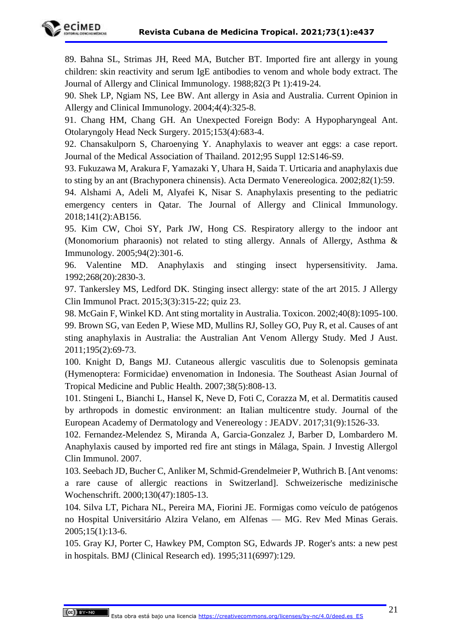

89. Bahna SL, Strimas JH, Reed MA, Butcher BT. Imported fire ant allergy in young children: skin reactivity and serum IgE antibodies to venom and whole body extract. The Journal of Allergy and Clinical Immunology. 1988;82(3 Pt 1):419-24.

90. Shek LP, Ngiam NS, Lee BW. Ant allergy in Asia and Australia. Current Opinion in Allergy and Clinical Immunology. 2004;4(4):325-8.

91. Chang HM, Chang GH. An Unexpected Foreign Body: A Hypopharyngeal Ant. Otolaryngoly Head Neck Surgery. 2015;153(4):683-4.

92. Chansakulporn S, Charoenying Y. Anaphylaxis to weaver ant eggs: a case report. Journal of the Medical Association of Thailand. 2012;95 Suppl 12:S146-S9.

93. Fukuzawa M, Arakura F, Yamazaki Y, Uhara H, Saida T. Urticaria and anaphylaxis due to sting by an ant (Brachyponera chinensis). Acta Dermato Venereologica. 2002;82(1):59.

94. Alshami A, Adeli M, Alyafei K, Nisar S. Anaphylaxis presenting to the pediatric emergency centers in Qatar. The Journal of Allergy and Clinical Immunology. 2018;141(2):AB156.

95. Kim CW, Choi SY, Park JW, Hong CS. Respiratory allergy to the indoor ant (Monomorium pharaonis) not related to sting allergy. Annals of Allergy, Asthma & Immunology. 2005;94(2):301-6.

96. Valentine MD. Anaphylaxis and stinging insect hypersensitivity. Jama. 1992;268(20):2830-3.

97. Tankersley MS, Ledford DK. Stinging insect allergy: state of the art 2015. J Allergy Clin Immunol Pract. 2015;3(3):315-22; quiz 23.

98. McGain F, Winkel KD. Ant sting mortality in Australia. Toxicon. 2002;40(8):1095-100. 99. Brown SG, van Eeden P, Wiese MD, Mullins RJ, Solley GO, Puy R, et al. Causes of ant sting anaphylaxis in Australia: the Australian Ant Venom Allergy Study. Med J Aust. 2011;195(2):69-73.

100. Knight D, Bangs MJ. Cutaneous allergic vasculitis due to Solenopsis geminata (Hymenoptera: Formicidae) envenomation in Indonesia. The Southeast Asian Journal of Tropical Medicine and Public Health. 2007;38(5):808-13.

101. Stingeni L, Bianchi L, Hansel K, Neve D, Foti C, Corazza M, et al. Dermatitis caused by arthropods in domestic environment: an Italian multicentre study. Journal of the European Academy of Dermatology and Venereology : JEADV. 2017;31(9):1526-33.

102. Fernandez-Melendez S, Miranda A, Garcia-Gonzalez J, Barber D, Lombardero M. Anaphylaxis caused by imported red fire ant stings in Málaga, Spain. J Investig Allergol Clin Immunol. 2007.

103. Seebach JD, Bucher C, Anliker M, Schmid-Grendelmeier P, Wuthrich B. [Ant venoms: a rare cause of allergic reactions in Switzerland]. Schweizerische medizinische Wochenschrift. 2000;130(47):1805-13.

104. Silva LT, Pichara NL, Pereira MA, Fiorini JE. Formigas como veículo de patógenos no Hospital Universitário Alzira Velano, em Alfenas — MG. Rev Med Minas Gerais. 2005;15(1):13-6.

105. Gray KJ, Porter C, Hawkey PM, Compton SG, Edwards JP. Roger's ants: a new pest in hospitals. BMJ (Clinical Research ed). 1995;311(6997):129.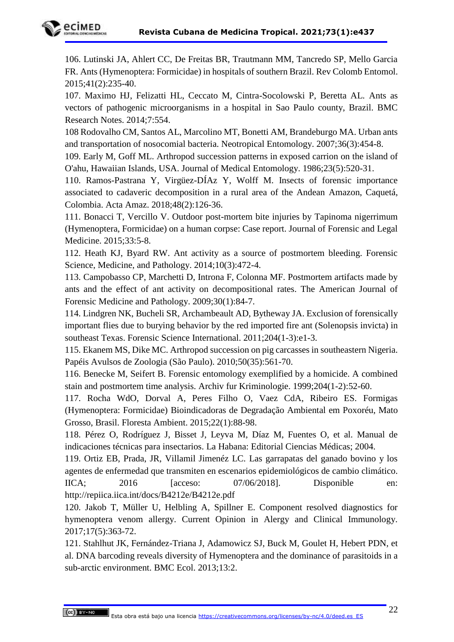

106. Lutinski JA, Ahlert CC, De Freitas BR, Trautmann MM, Tancredo SP, Mello Garcia FR. Ants (Hymenoptera: Formicidae) in hospitals of southern Brazil. Rev Colomb Entomol. 2015;41(2):235-40.

107. Maximo HJ, Felizatti HL, Ceccato M, Cintra-Socolowski P, Beretta AL. Ants as vectors of pathogenic microorganisms in a hospital in Sao Paulo county, Brazil. BMC Research Notes. 2014;7:554.

108 Rodovalho CM, Santos AL, Marcolino MT, Bonetti AM, Brandeburgo MA. Urban ants and transportation of nosocomial bacteria. Neotropical Entomology. 2007;36(3):454-8.

109. Early M, Goff ML. Arthropod succession patterns in exposed carrion on the island of O'ahu, Hawaiian Islands, USA. Journal of Medical Entomology. 1986;23(5):520-31.

110. Ramos-Pastrana Y, Virgüez-DÍAz Y, Wolff M. Insects of forensic importance associated to cadaveric decomposition in a rural area of the Andean Amazon, Caquetá, Colombia. Acta Amaz. 2018;48(2):126-36.

111. Bonacci T, Vercillo V. Outdoor post-mortem bite injuries by Tapinoma nigerrimum (Hymenoptera, Formicidae) on a human corpse: Case report. Journal of Forensic and Legal Medicine. 2015;33:5-8.

112. Heath KJ, Byard RW. Ant activity as a source of postmortem bleeding. Forensic Science, Medicine, and Pathology. 2014;10(3):472-4.

113. Campobasso CP, Marchetti D, Introna F, Colonna MF. Postmortem artifacts made by ants and the effect of ant activity on decompositional rates. The American Journal of Forensic Medicine and Pathology. 2009;30(1):84-7.

114. Lindgren NK, Bucheli SR, Archambeault AD, Bytheway JA. Exclusion of forensically important flies due to burying behavior by the red imported fire ant (Solenopsis invicta) in southeast Texas. Forensic Science International. 2011;204(1-3):e1-3.

115. Ekanem MS, Dike MC. Arthropod succession on pig carcasses in southeastern Nigeria. Papéis Avulsos de Zoologia (São Paulo). 2010;50(35):561-70.

116. Benecke M, Seifert B. Forensic entomology exemplified by a homicide. A combined stain and postmortem time analysis. Archiv fur Kriminologie. 1999;204(1-2):52-60.

117. Rocha WdO, Dorval A, Peres Filho O, Vaez CdA, Ribeiro ES. Formigas (Hymenoptera: Formicidae) Bioindicadoras de Degradação Ambiental em Poxoréu, Mato Grosso, Brasil. Floresta Ambient. 2015;22(1):88-98.

118. Pérez O, Rodríguez J, Bisset J, Leyva M, Díaz M, Fuentes O, et al. Manual de indicaciones técnicas para insectarios. La Habana: Editorial Ciencias Médicas; 2004.

119. Ortiz EB, Prada, JR, Villamil Jimenéz LC. Las garrapatas del ganado bovino y los agentes de enfermedad que transmiten en escenarios epidemiológicos de cambio climático. IICA; 2016 [acceso: 07/06/2018]. Disponible en: http://repiica.iica.int/docs/B4212e/B4212e.pdf

120. Jakob T, Müller U, Helbling A, Spillner E. Component resolved diagnostics for hymenoptera venom allergy. Current Opinion in Alergy and Clinical Immunology. 2017;17(5):363-72.

121. Stahlhut JK, Fernández-Triana J, Adamowicz SJ, Buck M, Goulet H, Hebert PDN, et al. DNA barcoding reveals diversity of Hymenoptera and the dominance of parasitoids in a sub-arctic environment. BMC Ecol. 2013;13:2.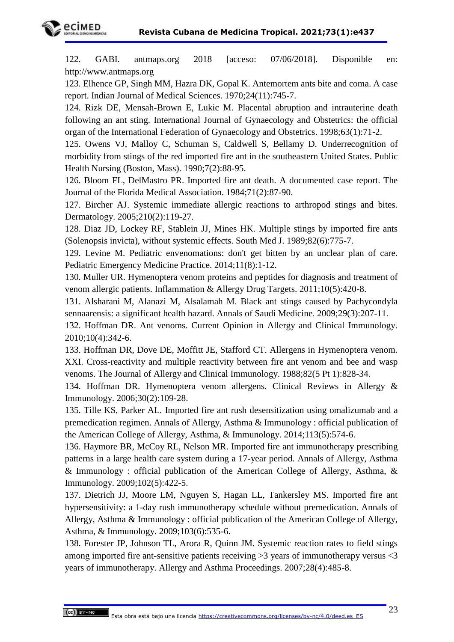



122. GABI. antmaps.org 2018 [acceso: 07/06/2018]. Disponible en: http:/[/www.antmaps.org](http://www.antmaps.org/)

123. Elhence GP, Singh MM, Hazra DK, Gopal K. Antemortem ants bite and coma. A case report. Indian Journal of Medical Sciences. 1970;24(11):745-7.

124. Rizk DE, Mensah-Brown E, Lukic M. Placental abruption and intrauterine death following an ant sting. International Journal of Gynaecology and Obstetrics: the official organ of the International Federation of Gynaecology and Obstetrics. 1998;63(1):71-2.

125. Owens VJ, Malloy C, Schuman S, Caldwell S, Bellamy D. Underrecognition of morbidity from stings of the red imported fire ant in the southeastern United States. Public Health Nursing (Boston, Mass). 1990;7(2):88-95.

126. Bloom FL, DelMastro PR. Imported fire ant death. A documented case report. The Journal of the Florida Medical Association. 1984;71(2):87-90.

127. Bircher AJ. Systemic immediate allergic reactions to arthropod stings and bites. Dermatology. 2005;210(2):119-27.

128. Diaz JD, Lockey RF, Stablein JJ, Mines HK. Multiple stings by imported fire ants (Solenopsis invicta), without systemic effects. South Med J. 1989;82(6):775-7.

129. Levine M. Pediatric envenomations: don't get bitten by an unclear plan of care. Pediatric Emergency Medicine Practice. 2014;11(8):1-12.

130. Muller UR. Hymenoptera venom proteins and peptides for diagnosis and treatment of venom allergic patients. Inflammation & Allergy Drug Targets. 2011;10(5):420-8.

131. Alsharani M, Alanazi M, Alsalamah M. Black ant stings caused by Pachycondyla sennaarensis: a significant health hazard. Annals of Saudi Medicine. 2009;29(3):207-11.

132. Hoffman DR. Ant venoms. Current Opinion in Allergy and Clinical Immunology. 2010;10(4):342-6.

133. Hoffman DR, Dove DE, Moffitt JE, Stafford CT. Allergens in Hymenoptera venom. XXI. Cross-reactivity and multiple reactivity between fire ant venom and bee and wasp venoms. The Journal of Allergy and Clinical Immunology. 1988;82(5 Pt 1):828-34.

134. Hoffman DR. Hymenoptera venom allergens. Clinical Reviews in Allergy & Immunology. 2006;30(2):109-28.

135. Tille KS, Parker AL. Imported fire ant rush desensitization using omalizumab and a premedication regimen. Annals of Allergy, Asthma & Immunology : official publication of the American College of Allergy, Asthma, & Immunology. 2014;113(5):574-6.

136. Haymore BR, McCoy RL, Nelson MR. Imported fire ant immunotherapy prescribing patterns in a large health care system during a 17-year period. Annals of Allergy, Asthma & Immunology : official publication of the American College of Allergy, Asthma, & Immunology. 2009;102(5):422-5.

137. Dietrich JJ, Moore LM, Nguyen S, Hagan LL, Tankersley MS. Imported fire ant hypersensitivity: a 1-day rush immunotherapy schedule without premedication. Annals of Allergy, Asthma & Immunology : official publication of the American College of Allergy, Asthma, & Immunology. 2009;103(6):535-6.

138. Forester JP, Johnson TL, Arora R, Quinn JM. Systemic reaction rates to field stings among imported fire ant-sensitive patients receiving  $>3$  years of immunotherapy versus  $<3$ years of immunotherapy. Allergy and Asthma Proceedings. 2007;28(4):485-8.